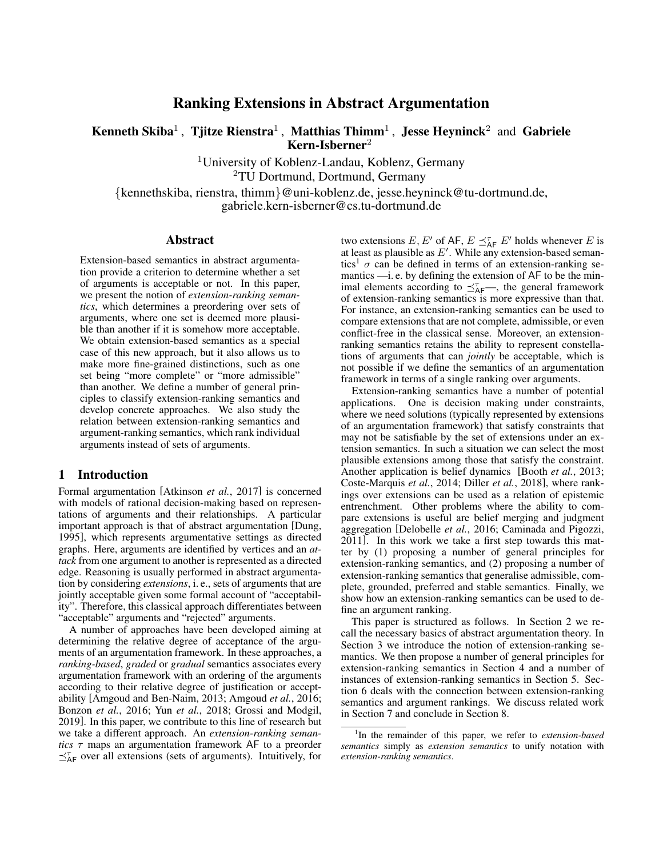# Ranking Extensions in Abstract Argumentation

# Kenneth Skiba<sup>1</sup>, Tjitze Rienstra<sup>1</sup>, Matthias Thimm<sup>1</sup>, Jesse Heyninck<sup>2</sup> and Gabriele  $Kern-Isherner<sup>2</sup>$

<sup>1</sup>University of Koblenz-Landau, Koblenz, Germany <sup>2</sup>TU Dortmund, Dortmund, Germany

{kennethskiba, rienstra, thimm}@uni-koblenz.de, jesse.heyninck@tu-dortmund.de, gabriele.kern-isberner@cs.tu-dortmund.de

#### Abstract

Extension-based semantics in abstract argumentation provide a criterion to determine whether a set of arguments is acceptable or not. In this paper, we present the notion of *extension-ranking semantics*, which determines a preordering over sets of arguments, where one set is deemed more plausible than another if it is somehow more acceptable. We obtain extension-based semantics as a special case of this new approach, but it also allows us to make more fine-grained distinctions, such as one set being "more complete" or "more admissible" than another. We define a number of general principles to classify extension-ranking semantics and develop concrete approaches. We also study the relation between extension-ranking semantics and argument-ranking semantics, which rank individual arguments instead of sets of arguments.

#### 1 Introduction

Formal argumentation [\[Atkinson](#page-6-0) *et al.*, 2017] is concerned with models of rational decision-making based on representations of arguments and their relationships. A particular important approach is that of abstract argumentation [\[Dung,](#page-6-1) [1995\]](#page-6-1), which represents argumentative settings as directed graphs. Here, arguments are identified by vertices and an *attack* from one argument to another is represented as a directed edge. Reasoning is usually performed in abstract argumentation by considering *extensions*, i. e., sets of arguments that are jointly acceptable given some formal account of "acceptability". Therefore, this classical approach differentiates between "acceptable" arguments and "rejected" arguments.

A number of approaches have been developed aiming at determining the relative degree of acceptance of the arguments of an argumentation framework. In these approaches, a *ranking-based*, *graded* or *gradual* semantics associates every argumentation framework with an ordering of the arguments according to their relative degree of justification or acceptability [\[Amgoud and Ben-Naim, 2013;](#page-6-2) [Amgoud](#page-6-3) *et al.*, 2016; [Bonzon](#page-6-4) *et al.*, 2016; Yun *et al.*[, 2018;](#page-6-5) [Grossi and Modgil,](#page-6-6) [2019\]](#page-6-6). In this paper, we contribute to this line of research but we take a different approach. An *extension-ranking semantics* τ maps an argumentation framework AF to a preorder  $\preceq^{\tau}_{AF}$  over all extensions (sets of arguments). Intuitively, for

two extensions  $E, E'$  of AF,  $E \preceq_{\text{AF}}^{\tau} E'$  holds whenever E is at least as plausible as  $E'$ . While any extension-based seman-tics<sup>[1](#page-0-0)</sup>  $\sigma$  can be defined in terms of an extension-ranking semantics —i. e. by defining the extension of AF to be the minimal elements according to  $\preceq^{\tau}_{AF}$ , the general framework of extension-ranking semantics is more expressive than that. For instance, an extension-ranking semantics can be used to compare extensions that are not complete, admissible, or even conflict-free in the classical sense. Moreover, an extensionranking semantics retains the ability to represent constellations of arguments that can *jointly* be acceptable, which is not possible if we define the semantics of an argumentation framework in terms of a single ranking over arguments.

Extension-ranking semantics have a number of potential applications. One is decision making under constraints, where we need solutions (typically represented by extensions of an argumentation framework) that satisfy constraints that may not be satisfiable by the set of extensions under an extension semantics. In such a situation we can select the most plausible extensions among those that satisfy the constraint. Another application is belief dynamics [\[Booth](#page-6-7) *et al.*, 2013; [Coste-Marquis](#page-6-8) *et al.*, 2014; Diller *et al.*[, 2018\]](#page-6-9), where rankings over extensions can be used as a relation of epistemic entrenchment. Other problems where the ability to compare extensions is useful are belief merging and judgment aggregation [\[Delobelle](#page-6-10) *et al.*, 2016; [Caminada and Pigozzi,](#page-6-11) [2011\]](#page-6-11). In this work we take a first step towards this matter by (1) proposing a number of general principles for extension-ranking semantics, and (2) proposing a number of extension-ranking semantics that generalise admissible, complete, grounded, preferred and stable semantics. Finally, we show how an extension-ranking semantics can be used to define an argument ranking.

This paper is structured as follows. In Section [2](#page-1-0) we recall the necessary basics of abstract argumentation theory. In Section [3](#page-1-1) we introduce the notion of extension-ranking semantics. We then propose a number of general principles for extension-ranking semantics in Section [4](#page-1-2) and a number of instances of extension-ranking semantics in Section [5.](#page-2-0) Section [6](#page-4-0) deals with the connection between extension-ranking semantics and argument rankings. We discuss related work in Section [7](#page-5-0) and conclude in Section [8.](#page-5-1)

<span id="page-0-0"></span><sup>1</sup> In the remainder of this paper, we refer to *extension-based semantics* simply as *extension semantics* to unify notation with *extension-ranking semantics*.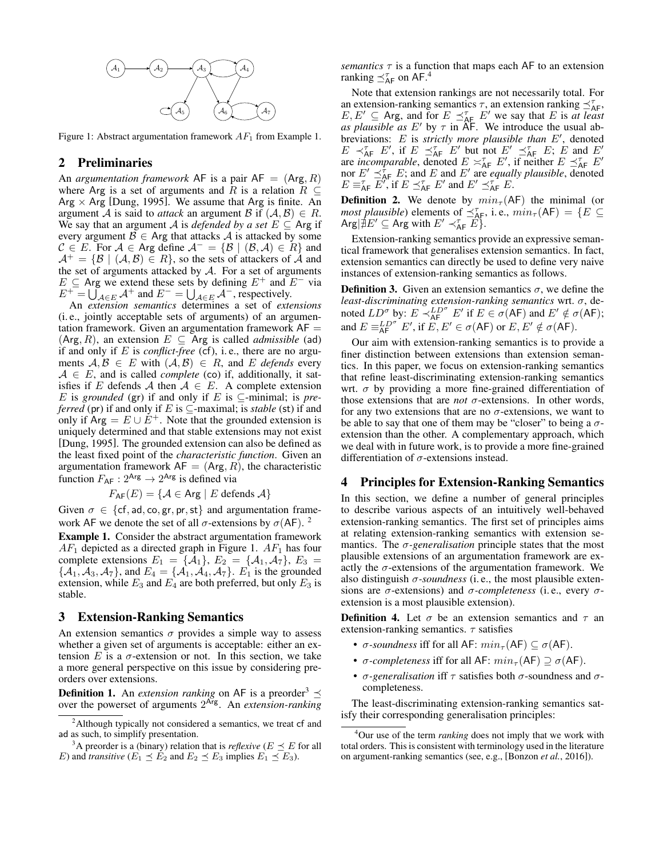<span id="page-1-5"></span>

Figure 1: Abstract argumentation framework  $AF_1$  from Example [1.](#page-1-3)

# <span id="page-1-0"></span>2 Preliminaries

An *argumentation framework* AF is a pair  $AF = (Arg, R)$ where Arg is a set of arguments and R is a relation  $R \subseteq$ Arg  $\times$  Arg [\[Dung, 1995\]](#page-6-1). We assume that Arg is finite. An argument A is said to *attack* an argument B if  $(A, B) \in R$ . We say that an argument A is *defended by a set*  $E \subseteq$  Arg if every argument  $\mathcal{B} \in \mathsf{Arg}$  that attacks A is attacked by some  $C \in E$ . For  $A \in \text{Arg}$  define  $A^- = \{ \mathcal{B} \mid (\mathcal{B}, \mathcal{A}) \in R \}$  and  $A^+=\{\mathcal{B} \mid (\mathcal{A},\mathcal{B})\in R\}$ , so the sets of attackers of A and the set of arguments attacked by  $A$ . For a set of arguments  $E \subseteq$  Arg we extend these sets by defining  $E^+$  and  $E^-$  via  $E^+ = \overline{\bigcup_{\mathcal{A}\in E} \mathcal{A}}^+$  and  $E^- = \bigcup_{\mathcal{A}\in E} \mathcal{A}^-$ , respectively.

An *extension semantics* determines a set of *extensions* (i. e., jointly acceptable sets of arguments) of an argumentation framework. Given an argumentation framework  $AF =$  $(Arg, R)$ , an extension  $E \subseteq Arg$  is called *admissible* (ad) if and only if E is *conflict-free* (cf), i. e., there are no arguments  $A, B \in E$  with  $(A, B) \in R$ , and E *defends* every  $A \in E$ , and is called *complete* (co) if, additionally, it satisfies if E defends A then  $A \in E$ . A complete extension E is *grounded* (gr) if and only if E is  $\subseteq$ -minimal; is *preferred* (pr) if and only if E is  $\subseteq$ -maximal; is *stable* (st) if and only if  $Arg = E \cup E^+$ . Note that the grounded extension is uniquely determined and that stable extensions may not exist [\[Dung, 1995\]](#page-6-1). The grounded extension can also be defined as the least fixed point of the *characteristic function*. Given an argumentation framework  $AF = (Arg, R)$ , the characteristic function  $F_{AF}$ :  $2^{Arg} \rightarrow 2^{Arg}$  is defined via

$$
F_{\mathsf{AF}}(E) = \{ \mathcal{A} \in \mathsf{Arg} \mid E \text{ depends } \mathcal{A} \}
$$

Given  $\sigma \in \{\text{cf}, \text{ad}, \text{co}, \text{gr}, \text{pr}, \text{st}\}\$ and argumentation framework AF we denote the set of all  $\sigma$ -extensions by  $\sigma(AF)$ . <sup>[2](#page-1-4)</sup>

<span id="page-1-3"></span>Example 1. Consider the abstract argumentation framework  $AF_1$  depicted as a directed graph in Figure [1.](#page-1-5)  $AF_1$  has four complete extensions  $E_1 = \{A_1\}, E_2 = \{A_1, A_7\}, E_3 =$  $\{\mathcal{A}_1, \mathcal{A}_3, \mathcal{A}_7\}$ , and  $E_4 = \{\mathcal{A}_1, \mathcal{A}_4, \mathcal{A}_7\}$ .  $E_1$  is the grounded extension, while  $E_3$  and  $E_4$  are both preferred, but only  $E_3$  is stable.

### <span id="page-1-1"></span>3 Extension-Ranking Semantics

An extension semantics  $\sigma$  provides a simple way to assess whether a given set of arguments is acceptable: either an extension  $E$  is a  $\sigma$ -extension or not. In this section, we take a more general perspective on this issue by considering preorders over extensions.

**Definition 1.** An *extension ranking* on AF is a preorder<sup>[3](#page-1-6)</sup>  $\preceq$ over the powerset of arguments 2 Arg. An *extension-ranking* *semantics*  $\tau$  is a function that maps each AF to an extension ranking  $\preceq^{\tau}_{\mathsf{AF}}$  on AF.<sup>[4](#page-1-7)</sup>

Note that extension rankings are not necessarily total. For an extension-ranking semantics  $\tau$ , an extension ranking  $\preceq^{\tau}_{AF}$ ,  $E, E' \subseteq \text{Arg}$ , and for  $E \preceq_{\text{AE}}^{\tau} E'$  we say that E is *at least as plausible as* E' by  $\tau$  in AF. We introduce the usual abbreviations:  $E$  is *strictly more plausible than*  $E'$ , denoted  $E \prec_{\mathsf{AF}}^{\tau} E'$ , if  $E \preceq_{\mathsf{AF}}^{\tau} E'$  but not  $E' \preceq_{\mathsf{AF}}^{\tau} E$ ;  $E$  and  $E'$ are *incomparable*, denoted  $E \asymp_{AF}^{\tau} E'$ , if neither  $E \preceq_{AF}^{\tau} E'$ nor  $E' \preceq_{\mathsf{AF}}^{\hat{\tau}} E$ ; and E and E' are *equally plausible*, denoted  $E \equiv_{\mathsf{AF}}^{\tau} \overline{E'}$ , if  $E \preceq_{\mathsf{AF}}^{\tau} E'$  and  $E' \preceq_{\mathsf{AF}}^{\tau} E$ .

**Definition 2.** We denote by  $min_{\tau}(AF)$  the minimal (or *most plausible*) elements of  $\preceq^{\tau}_{AF}$ , i.e.,  $min_{\tau}(AF) = \{E \subseteq$ Arg $|\nexists E' \subseteq \text{Arg with } E' \prec_{\text{AF}}^{\tau} E$ .

Extension-ranking semantics provide an expressive semantical framework that generalises extension semantics. In fact, extension semantics can directly be used to define very naive instances of extension-ranking semantics as follows.

**Definition 3.** Given an extension semantics  $\sigma$ , we define the *least-discriminating extension-ranking semantics* wrt. σ, denoted  $LD^{\sigma}$  by:  $E \prec_{AF}^{LD^{\sigma}} E'$  if  $E \in \sigma(AF)$  and  $E' \notin \sigma(AF)$ ; and  $E \equiv_{AF}^{LD^{\sigma}} E'$ , if  $E, E' \in \sigma(AF)$  or  $E, E' \notin \sigma(AF)$ .

Our aim with extension-ranking semantics is to provide a finer distinction between extensions than extension semantics. In this paper, we focus on extension-ranking semantics that refine least-discriminating extension-ranking semantics wrt.  $\sigma$  by providing a more fine-grained differentiation of those extensions that are *not*  $\sigma$ -extensions. In other words, for any two extensions that are no  $\sigma$ -extensions, we want to be able to say that one of them may be "closer" to being a  $\sigma$ extension than the other. A complementary approach, which we deal with in future work, is to provide a more fine-grained differentiation of  $\sigma$ -extensions instead.

# <span id="page-1-2"></span>4 Principles for Extension-Ranking Semantics

In this section, we define a number of general principles to describe various aspects of an intuitively well-behaved extension-ranking semantics. The first set of principles aims at relating extension-ranking semantics with extension semantics. The  $\sigma$ -generalisation principle states that the most plausible extensions of an argumentation framework are exactly the  $\sigma$ -extensions of the argumentation framework. We also distinguish  $\sigma$ -soundness (i.e., the most plausible extensions are σ-extensions) and σ*-completeness* (i. e., every σextension is a most plausible extension).

**Definition 4.** Let  $\sigma$  be an extension semantics and  $\tau$  an extension-ranking semantics.  $\tau$  satisfies

- $\sigma$ -soundness iff for all AF:  $min_{\tau}$  (AF)  $\subset \sigma$  (AF).
- $\sigma$ -completeness iff for all AF:  $min_{\tau}$ (AF)  $\supseteq \sigma$ (AF).
- $\sigma$ -generalisation iff  $\tau$  satisfies both  $\sigma$ -soundness and  $\sigma$ completeness.

The least-discriminating extension-ranking semantics satisfy their corresponding generalisation principles:

<span id="page-1-4"></span><sup>&</sup>lt;sup>2</sup>Although typically not considered a semantics, we treat cf and ad as such, to simplify presentation.

<span id="page-1-6"></span><sup>&</sup>lt;sup>3</sup>A preorder is a (binary) relation that is *reflexive* ( $E \prec E$  for all E) and *transitive* ( $E_1 \preceq E_2$  and  $E_2 \preceq E_3$  implies  $E_1 \preceq E_3$ ).

<span id="page-1-7"></span><sup>4</sup>Our use of the term *ranking* does not imply that we work with total orders. This is consistent with terminology used in the literature on argument-ranking semantics (see, e.g., [\[Bonzon](#page-6-4) *et al.*, 2016]).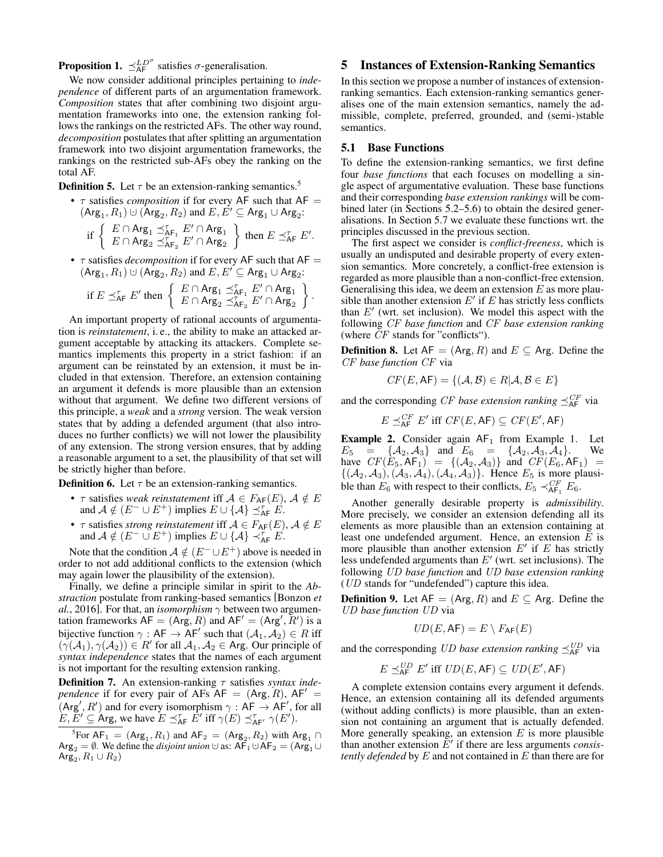**Proposition 1.**  $\preceq_{\mathsf{AF}}^{LD^{\sigma}}$  satisfies  $\sigma$ -generalisation.

We now consider additional principles pertaining to *independence* of different parts of an argumentation framework. *Composition* states that after combining two disjoint argumentation frameworks into one, the extension ranking follows the rankings on the restricted AFs. The other way round, *decomposition* postulates that after splitting an argumentation framework into two disjoint argumentation frameworks, the rankings on the restricted sub-AFs obey the ranking on the total AF.

**Definition [5](#page-2-1).** Let  $\tau$  be an extension-ranking semantics.<sup>5</sup>

•  $\tau$  satisfies *composition* if for every AF such that AF =  $(\mathsf{Arg}_1, R_1) \cup (\mathsf{Arg}_2, R_2)$  and  $E, \check{E'} \subseteq \mathsf{Arg}_1 \cup \mathsf{Arg}_2$ :

$$
\text{if } \left\{ \begin{array}{l} E \cap \text{Arg}_1 \preceq^{\tau}_{\text{AF}_1} E' \cap \text{Arg}_1 \\ E \cap \text{Arg}_2 \preceq^{\tau}_{\text{AF}_2} E' \cap \text{Arg}_2 \end{array} \right\} \text{ then } E \preceq^{\tau}_{\text{AF}} E'.
$$

•  $\tau$  satisfies *decomposition* if for every AF such that AF =  $(\text{Arg}_1, R_1) \cup (\text{Arg}_2, R_2)$  and  $E, E' \subseteq \text{Arg}_1 \cup \text{Arg}_2$ :

$$
\text{if } E \preceq^{\tau}_{\mathsf{AF}} E' \text{ then } \left\{ \begin{array}{l} E \cap \mathsf{Arg}_1 \preceq^{\tau}_{\mathsf{AF}_1} E' \cap \mathsf{Arg}_1 \\ E \cap \mathsf{Arg}_2 \preceq^{\tau}_{\mathsf{AF}_2} E' \cap \mathsf{Arg}_2 \end{array} \right\}.
$$

An important property of rational accounts of argumentation is *reinstatement*, i. e., the ability to make an attacked argument acceptable by attacking its attackers. Complete semantics implements this property in a strict fashion: if an argument can be reinstated by an extension, it must be included in that extension. Therefore, an extension containing an argument it defends is more plausible than an extension without that argument. We define two different versions of this principle, a *weak* and a *strong* version. The weak version states that by adding a defended argument (that also introduces no further conflicts) we will not lower the plausibility of any extension. The strong version ensures, that by adding a reasonable argument to a set, the plausibility of that set will be strictly higher than before.

**Definition 6.** Let  $\tau$  be an extension-ranking semantics.

- $\tau$  satisfies *weak reinstatement* iff  $\mathcal{A} \in F_{\mathsf{AF}}(E)$ ,  $\mathcal{A} \notin E$ and  $\mathcal{A} \notin (E^- \cup E^+)$  implies  $E \cup {\mathcal{A}} \preceq_{\mathsf{AF}}^{\tau} E$ .
- $\tau$  satisfies *strong reinstatement* iff  $\mathcal{A} \in F_{\mathsf{AF}}(E)$ ,  $\mathcal{A} \notin E$ and  $\mathcal{A} \notin (E^- \cup E^+)$  implies  $E \cup {\mathcal{A}} \prec_{\mathsf{AF}}^{\tau} E$ .

Note that the condition  $A \notin (E^- \cup E^+)$  above is needed in order to not add additional conflicts to the extension (which may again lower the plausibility of the extension).

Finally, we define a principle similar in spirit to the *Abstraction* postulate from ranking-based semantics [\[Bonzon](#page-6-4) *et al.*[, 2016\]](#page-6-4). For that, an *isomorphism*  $\gamma$  between two argumentation frameworks  $AF = (Arg, R)$  and  $AF' = (Arg', R')$  is a bijective function  $\gamma : AF \rightarrow AF'$  such that  $(A_1, A_2) \in R$  iff  $(\gamma(\mathcal{A}_1), \gamma(\mathcal{A}_2)) \in R'$  for all  $\mathcal{A}_1, \mathcal{A}_2 \in \mathsf{Arg}$ . Our principle of *syntax independence* states that the names of each argument is not important for the resulting extension ranking.

**Definition 7.** An extension-ranking *τ* satisfies *syntax independence* if for every pair of AFs  $AF = (Arg, R)$ ,  $AF' =$  $(Arg', R')$  and for every isomorphism  $\gamma : AF \rightarrow AF'$ , for all  $E, \overline{E}' \subseteq \text{Arg}$ , we have  $E \preceq_{\text{AF}}^{\tau} \overline{E}'$  iff  $\gamma(E) \preceq_{\text{AF}'}^{\tau} \gamma(E')$ .

<span id="page-2-1"></span><sup>5</sup>For  $AF_1 = (Arg_1, R_1)$  and  $AF_2 = (Arg_2, R_2)$  with  $Arg_1 \cap$  $Arg_2 = \emptyset$ . We define the *disjoint union*  $\cup$  as:  $AF_1 \cup AF_2 = (Arg_1 \cup$  $\mathsf{Arg}_2, R_1 \cup R_2)$ 

# <span id="page-2-0"></span>5 Instances of Extension-Ranking Semantics

In this section we propose a number of instances of extensionranking semantics. Each extension-ranking semantics generalises one of the main extension semantics, namely the admissible, complete, preferred, grounded, and (semi-)stable semantics.

#### 5.1 Base Functions

To define the extension-ranking semantics, we first define four *base functions* that each focuses on modelling a single aspect of argumentative evaluation. These base functions and their corresponding *base extension rankings* will be combined later (in Sections [5.2–](#page-3-0)[5.6\)](#page-4-1) to obtain the desired generalisations. In Section [5.7](#page-4-2) we evaluate these functions wrt. the principles discussed in the previous section.

The first aspect we consider is *conflict-freeness*, which is usually an undisputed and desirable property of every extension semantics. More concretely, a conflict-free extension is regarded as more plausible than a non-conflict-free extension. Generalising this idea, we deem an extension  $E$  as more plausible than another extension  $E'$  if  $E$  has strictly less conflicts than  $E'$  (wrt. set inclusion). We model this aspect with the following CF *base function* and CF *base extension ranking* (where CF stands for "conflicts").

**Definition 8.** Let  $AF = (Arg, R)$  and  $E \subseteq Arg$ . Define the CF *base function* CF via

$$
CF(E, AF) = \{ (\mathcal{A}, \mathcal{B}) \in R | \mathcal{A}, \mathcal{B} \in E \}
$$

and the corresponding *CF base extension ranking*  $\preceq^{\text{CF}}_{\text{AF}}$  via

$$
E \preceq_{\sf AF}^{CF} E' \text{ iff } CF(E, \sf AF) \subseteq CF(E', \sf AF)
$$

**Example 2.** Consider again  $AF_1$  from Example [1.](#page-1-3) Let  $E_5 = \{A_2, A_3\}$  and  $E_6 = \{A_2, A_3, A_4\}.$  We have  $CF(E_5, AF_1) = \{(\mathcal{A}_2, \mathcal{A}_3)\}\$  and  $CF(E_6, AF_1) =$  $\{(\mathcal{A}_2, \mathcal{A}_3),(\mathcal{A}_3, \mathcal{A}_4),(\mathcal{A}_4, \mathcal{A}_3)\}\$ . Hence  $E_5$  is more plausible than  $E_6$  with respect to their conflicts,  $E_5 \prec_{\mathsf{AF}_1}^{CF} E_6$ .

Another generally desirable property is *admissibility*. More precisely, we consider an extension defending all its elements as more plausible than an extension containing at least one undefended argument. Hence, an extension  $E$  is more plausible than another extension  $E'$  if  $E$  has strictly less undefended arguments than  $E'$  (wrt. set inclusions). The following UD *base function* and UD *base extension ranking* (UD stands for "undefended") capture this idea.

**Definition 9.** Let  $AF = (Arg, R)$  and  $E \subseteq Arg$ . Define the UD *base function* UD via

$$
UD(E, \mathsf{AF}) = E \setminus F_{\mathsf{AF}}(E)
$$

and the corresponding *UD base extension ranking*  $\preceq_{\mathsf{AF}}^{UD}$  via

$$
E \preceq_{\sf AF}^{\sf UD} E' \text{ iff } \sf{UD}(E, \sf{AF}) \subseteq \sf{UD}(E', \sf{AF})
$$

A complete extension contains every argument it defends. Hence, an extension containing all its defended arguments (without adding conflicts) is more plausible, than an extension not containing an argument that is actually defended. More generally speaking, an extension  $E$  is more plausible than another extension  $E'$  if there are less arguments *consistently defended* by E and not contained in E than there are for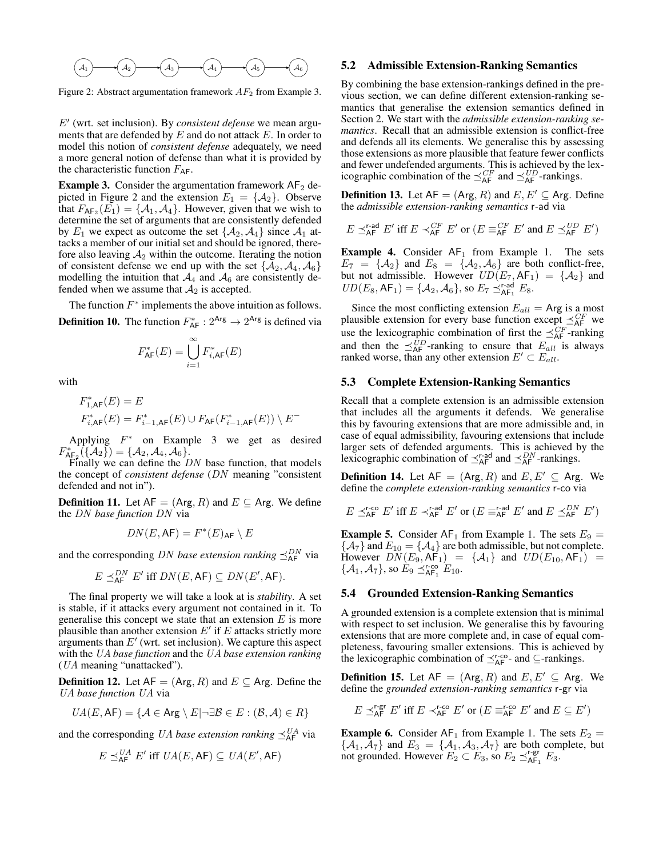<span id="page-3-2"></span>

Figure 2: Abstract argumentation framework  $AF<sub>2</sub>$  from Example [3.](#page-3-1)

E' (wrt. set inclusion). By *consistent defense* we mean arguments that are defended by  $E$  and do not attack  $E$ . In order to model this notion of *consistent defense* adequately, we need a more general notion of defense than what it is provided by the characteristic function  $F_{AF}$ .

<span id="page-3-1"></span>**Example 3.** Consider the argumentation framework  $AF_2$  de-picted in Figure [2](#page-3-2) and the extension  $E_1 = \{A_2\}$ . Observe that  $F_{\mathsf{AF}_2}(E_1) = \{A_1, A_4\}$ . However, given that we wish to determine the set of arguments that are consistently defended by  $E_1$  we expect as outcome the set  $\{A_2, A_4\}$  since  $A_1$  attacks a member of our initial set and should be ignored, therefore also leaving  $A_2$  within the outcome. Iterating the notion of consistent defense we end up with the set  $\{A_2, A_4, A_6\}$ modelling the intuition that  $A_4$  and  $A_6$  are consistently defended when we assume that  $A_2$  is accepted.

The function  $F^*$  implements the above intuition as follows. **Definition 10.** The function  $F_{AF}^* : 2^{Arg} \rightarrow 2^{Arg}$  is defined via

$$
F_{\mathsf{AF}}^{\ast}(E)=\bigcup_{i=1}^{\infty}F_{i,\mathsf{AF}}^{\ast}(E)
$$

with

E

$$
\begin{split} F_{1,\mathrm{AF}}^*(E) &= E \\ F_{i,\mathrm{AF}}^*(E) &= F_{i-1,\mathrm{AF}}^*(E) \cup F_{\mathrm{AF}}(F_{i-1,\mathrm{AF}}^*(E)) \setminus E^- \end{split}
$$

Applying  $F^*$  on Example [3](#page-3-1) we get as desired  $F^*_{\mathsf{A}\mathsf{F}_2}(\{\mathcal{A}_2\}) = \{\mathcal{A}_2, \mathcal{A}_4, \mathcal{A}_6\}.$ 

Finally we can define the  $DN$  base function, that models the concept of *consistent defense* (DN meaning "consistent defended and not in").

**Definition 11.** Let  $AF = (Arg, R)$  and  $E \subseteq Arg$ . We define the DN *base function* DN via

$$
DN(E, \mathsf{AF}) = F^*(E)_{\mathsf{AF}} \setminus E
$$

and the corresponding *DN base extension ranking*  $\preceq_{\mathsf{AF}}^{DN}$  via

$$
\mathbb{E} \preceq_{\sf AF}^{DN} E' \text{ iff } DN(E, \sf AF) \subseteq DN(E', \sf AF).
$$

The final property we will take a look at is *stability*. A set is stable, if it attacks every argument not contained in it. To generalise this concept we state that an extension  $E$  is more plausible than another extension  $E'$  if  $E$  attacks strictly more arguments than  $E'$  (wrt. set inclusion). We capture this aspect with the UA *base function* and the UA *base extension ranking* (UA meaning "unattacked").

**Definition 12.** Let  $AF = (Arg, R)$  and  $E \subseteq Arg$ . Define the UA *base function* UA via

$$
\mathit{UA}(E, \mathsf{AF}) = \{ \mathcal{A} \in \mathsf{Arg} \setminus E | \neg \exists \mathcal{B} \in E : (\mathcal{B}, \mathcal{A}) \in R \}
$$

and the corresponding UA base extension ranking  $\preceq_{\sf AF}^{\sf UA}$  via

$$
E \preceq_{\sf AF}^{UA} E' \text{ iff } UA(E, \sf AF) \subseteq UA(E', \sf AF)
$$

#### <span id="page-3-0"></span>5.2 Admissible Extension-Ranking Semantics

By combining the base extension-rankings defined in the previous section, we can define different extension-ranking semantics that generalise the extension semantics defined in Section [2.](#page-1-0) We start with the *admissible extension-ranking semantics*. Recall that an admissible extension is conflict-free and defends all its elements. We generalise this by assessing those extensions as more plausible that feature fewer conflicts and fewer undefended arguments. This is achieved by the lexicographic combination of the  $\preceq_{AF}^{CF}$  and  $\preceq_{AF}^{UD}$ -rankings.

**Definition 13.** Let  $AF = (Arg, R)$  and  $E, E' \subseteq Arg$ . Define the *admissible extension-ranking semantics* r*-*ad via

$$
E \preceq^{\text{r-ad}}_{\textsf{AF}} E' \text{ iff } E \prec^{\textsf{CF}}_{\textsf{AF}} E' \text{ or } (E \equiv^{\textsf{CF}}_{\textsf{AF}} E' \text{ and } E \preceq^{\textsf{UD}}_{\textsf{AF}} E')
$$

**Example 4.** Consider  $AF_1$  from Example [1.](#page-1-3) The sets  $E_7 = {\mathcal{A}_2}$  and  $E_8 = {\mathcal{A}_2, \mathcal{A}_6}$  are both conflict-free, but not admissible. However  $UD(E_7, AF_1) = \{A_2\}$  and  $UD(E_8, AF_1) = \{A_2, A_6\}$ , so  $E_7 \preceq_{AF_1}^{r\text{-ad}} E_8$ .

Since the most conflicting extension  $E_{all}$  = Arg is a most plausible extension for every base function except  $\preceq_{AF}^{CF}$  we use the lexicographic combination of first the  $\preceq_{\mathsf{AF}}^{CF}$ -ranking and then the  $\preceq_{AF}^{UD}$ -ranking to ensure that  $E_{all}$  is always ranked worse, than any other extension  $E' \subset E_{all}$ .

#### 5.3 Complete Extension-Ranking Semantics

Recall that a complete extension is an admissible extension that includes all the arguments it defends. We generalise this by favouring extensions that are more admissible and, in case of equal admissibility, favouring extensions that include larger sets of defended arguments. This is achieved by the lexicographic combination of  $\preceq^{\text{r-ad}}_{AF}$  and  $\preceq^{\text{DN}}_{AF}$ -rankings.

**Definition 14.** Let  $AF = (Arg, R)$  and  $E, E' \subseteq Arg$ . We define the *complete extension-ranking semantics* r-co via

$$
E \preceq^{\text{r-co}}_{\textsf{AF}} E' \text{ iff } E \prec^{\text{r-ad}}_{\textsf{AF}} E' \text{ or } (E \equiv^{\text{r-ad}}_{\textsf{AF}} E' \text{ and } E \preceq^{\textsf{DN}}_{\textsf{AF}} E')
$$

**Example 5.** Consider  $AF_1$  from Example [1.](#page-1-3) The sets  $E_9$  =  ${A_7}$  and  $E_{10} = {A_4}$  are both admissible, but not complete. However  $DN(E_9, AF_1) = \{A_1\}$  and  $UD(E_{10}, AF_1) =$  $\{\mathcal{A}_1, \mathcal{A}_7\}$ , so  $E_9 \preceq_{\mathsf{AF}_1}^{\mathsf{r}\text{-co}} E_{10}$ .

## 5.4 Grounded Extension-Ranking Semantics

A grounded extension is a complete extension that is minimal with respect to set inclusion. We generalise this by favouring extensions that are more complete and, in case of equal completeness, favouring smaller extensions. This is achieved by the lexicographic combination of  $\preceq^{\text{r-co}}_{AF}$ - and ⊆-rankings.

**Definition 15.** Let  $AF = (Arg, R)$  and  $E, E' \subseteq Arg$ . We define the *grounded extension-ranking semantics* r-gr via

$$
E \preceq^{\text{r-gr}}_{\mathsf{AF}} E' \text{ iff } E \prec^{\text{r-co}}_{\mathsf{AF}} E' \text{ or } (E \equiv^{\text{r-co}}_{\mathsf{AF}} E' \text{ and } E \subseteq E')
$$

**Example 6.** Consider  $AF_1$  from Example [1.](#page-1-3) The sets  $E_2 =$  $\{\mathcal{A}_1, \mathcal{A}_7\}$  and  $E_3 = \{\mathcal{A}_1, \mathcal{A}_3, \mathcal{A}_7\}$  are both complete, but not grounded. However  $E_2 \subset E_3$ , so  $E_2 \preceq_{AF_1}^{r-gr} E_3$ .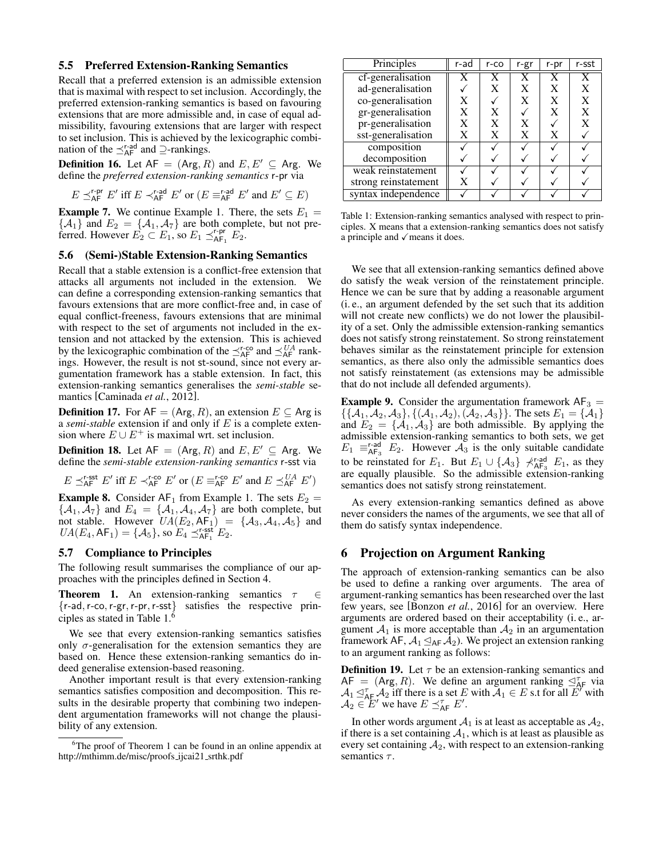#### 5.5 Preferred Extension-Ranking Semantics

Recall that a preferred extension is an admissible extension that is maximal with respect to set inclusion. Accordingly, the preferred extension-ranking semantics is based on favouring extensions that are more admissible and, in case of equal admissibility, favouring extensions that are larger with respect to set inclusion. This is achieved by the lexicographic combination of the  $\preceq^{\text{r-ad}}_{AF}$  and  $\supseteq$ -rankings.

**Definition 16.** Let  $AF = (Arg, R)$  and  $E, E' \subseteq Arg$ . We define the *preferred extension-ranking semantics* r-pr via

$$
E \preceq^{\text{r-pr}}_{\mathsf{AF}} E' \text{ iff } E \prec^{\text{r-ad}}_{\mathsf{AF}} E' \text{ or } (E \equiv^{\text{r-ad}}_{\mathsf{AF}} E' \text{ and } E' \subseteq E)
$$

**Example 7.** We continue Example [1.](#page-1-3) There, the sets  $E_1 =$  $\{\mathcal{A}_1\}$  and  $E_2 = \{\mathcal{A}_1, \mathcal{A}_7\}$  are both complete, but not preferred. However  $E_2 \subset E_1$ , so  $E_1 \preceq_{AF_1}^{r-pr} E_2$ .

#### <span id="page-4-1"></span>5.6 (Semi-)Stable Extension-Ranking Semantics

Recall that a stable extension is a conflict-free extension that attacks all arguments not included in the extension. We can define a corresponding extension-ranking semantics that favours extensions that are more conflict-free and, in case of equal conflict-freeness, favours extensions that are minimal with respect to the set of arguments not included in the extension and not attacked by the extension. This is achieved by the lexicographic combination of the  $\preceq^{\text{r-co}}_{AF}$  and  $\preceq^{\text{UA}}_{AF}$  rankings. However, the result is not st-sound, since not every argumentation framework has a stable extension. In fact, this extension-ranking semantics generalises the *semi-stable* semantics [\[Caminada](#page-6-12) *et al.*, 2012].

**Definition 17.** For  $AF = (Arg, R)$ , an extension  $E \subseteq Arg$  is a *semi-stable* extension if and only if E is a complete extension where  $E \cup E^+$  is maximal wrt. set inclusion.

**Definition 18.** Let  $AF = (Arg, R)$  and  $E, E' \subseteq Arg$ . We define the *semi-stable extension-ranking semantics* r-sst via

$$
E \preceq^{\text{r-sst}}_{\textsf{AF}} E' \text{ iff } E \prec^{\text{r-co}}_{\textsf{AF}} E' \text{ or } (E \equiv^{\text{r-co}}_{\textsf{AF}} E' \text{ and } E \preceq^{\textsf{UA}}_{\textsf{AF}} E')
$$

**Example 8.** Consider  $AF_1$  from Example [1.](#page-1-3) The sets  $E_2$  =  $\{A_1, A_7\}$  and  $E_4 = \{A_1, A_4, A_7\}$  are both complete, but not stable. However  $UA(E_2, AF_1) = \{A_3, A_4, A_5\}$  and  $UA(E_4, AF_1) = \{A_5\}$ , so  $E_4 \preceq_{AF_1}^{r\text{-sst}} E_2$ .

#### <span id="page-4-2"></span>5.7 Compliance to Principles

The following result summarises the compliance of our approaches with the principles defined in Section [4.](#page-1-2)

<span id="page-4-5"></span>**Theorem 1.** An extension-ranking semantics  $\tau \in \mathbb{R}$ {r-ad,r-co,r-gr,r-pr,r-sst} satisfies the respective principles as stated in Table [1.](#page-4-3)[6](#page-4-4)

We see that every extension-ranking semantics satisfies only  $\sigma$ -generalisation for the extension semantics they are based on. Hence these extension-ranking semantics do indeed generalise extension-based reasoning.

Another important result is that every extension-ranking semantics satisfies composition and decomposition. This results in the desirable property that combining two independent argumentation frameworks will not change the plausibility of any extension.

<span id="page-4-3"></span>

| Principles           | $r$ -ad | $r$ -co | r-gr | r-pr | r-sst |
|----------------------|---------|---------|------|------|-------|
| cf-generalisation    |         | X       | X    | X    | X     |
| ad-generalisation    |         | X       | X    | X    | X     |
| co-generalisation    | X       |         | X    | X    | X     |
| gr-generalisation    | X       | X       |      | X    | X     |
| pr-generalisation    | X       | X       | X    |      | X     |
| sst-generalisation   | X       | X       | X    | X    |       |
| composition          |         |         |      |      |       |
| decomposition        |         |         |      |      |       |
| weak reinstatement   |         |         |      |      |       |
| strong reinstatement |         |         |      |      |       |
| syntax independence  |         |         |      |      |       |

Table 1: Extension-ranking semantics analysed with respect to principles. X means that a extension-ranking semantics does not satisfy a principle and  $\sqrt{\ }$  means it does.

We see that all extension-ranking semantics defined above do satisfy the weak version of the reinstatement principle. Hence we can be sure that by adding a reasonable argument (i. e., an argument defended by the set such that its addition will not create new conflicts) we do not lower the plausibility of a set. Only the admissible extension-ranking semantics does not satisfy strong reinstatement. So strong reinstatement behaves similar as the reinstatement principle for extension semantics, as there also only the admissible semantics does not satisfy reinstatement (as extensions may be admissible that do not include all defended arguments).

**Example 9.** Consider the argumentation framework  $AF_3 =$  $\{\{A_1, A_2, A_3\}, \{(\mathcal{A}_1, \mathcal{A}_2), (\mathcal{A}_2, \mathcal{A}_3)\}\}\.$  The sets  $E_1 = \{\mathcal{A}_1\}$ and  $E_2 = \{A_1, A_3\}$  are both admissible. By applying the admissible extension-ranking semantics to both sets, we get  $E_1 \equiv_{\text{AF}_3}^{\text{rad}} E_2$ . However  $\mathcal{A}_3$  is the only suitable candidate to be reinstated for  $E_1$ . But  $E_1 \cup {\{\mathcal{A}_3\}}$   $\nless$   $\mathcal{A}_{AF_3}^{r\text{-ad}}$   $E_1$ , as they are equally plausible. So the admissible extension-ranking semantics does not satisfy strong reinstatement.

As every extension-ranking semantics defined as above never considers the names of the arguments, we see that all of them do satisfy syntax independence.

## <span id="page-4-0"></span>6 Projection on Argument Ranking

The approach of extension-ranking semantics can be also be used to define a ranking over arguments. The area of argument-ranking semantics has been researched over the last few years, see [\[Bonzon](#page-6-4) *et al.*, 2016] for an overview. Here arguments are ordered based on their acceptability (i. e., argument  $A_1$  is more acceptable than  $A_2$  in an argumentation framework AF,  $A_1 \leq_{AF} A_2$ ). We project an extension ranking to an argument ranking as follows:

<span id="page-4-6"></span>**Definition 19.** Let  $\tau$  be an extension-ranking semantics and  $AF = (Arg, R)$ . We define an argument ranking  $\trianglelefteq^{\tau}_{AF}$  via  $\mathcal{A}_1 \leq_{\mathsf{A}\mathsf{F}}^{\tau} \mathcal{A}_2$  iff there is a set E with  $\mathcal{A}_1 \in E$  s.t for all  $E'$  with  $\mathcal{A}_2 \in E'$  we have  $E \preceq_{\mathsf{AF}}^{\tau} E'$ .

In other words argument  $A_1$  is at least as acceptable as  $A_2$ , if there is a set containing  $A_1$ , which is at least as plausible as every set containing  $A_2$ , with respect to an extension-ranking semantics  $\tau$ .

<span id="page-4-4"></span><sup>&</sup>lt;sup>6</sup>The proof of Theorem [1](#page-4-5) can be found in an online appendix at [http://mthimm.de/misc/proofs](http://mthimm.de/misc/proofs_ijcai21_srthk.pdf)\_ijcai21\_srthk.pdf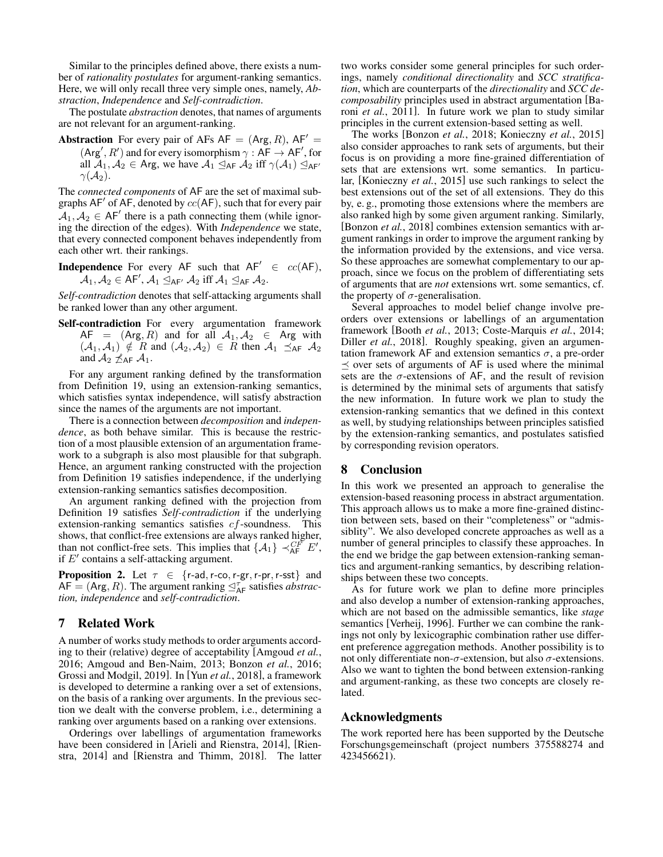Similar to the principles defined above, there exists a number of *rationality postulates* for argument-ranking semantics. Here, we will only recall three very simple ones, namely, *Abstraction*, *Independence* and *Self-contradiction*.

The postulate *abstraction* denotes, that names of arguments are not relevant for an argument-ranking.

**Abstraction** For every pair of AFs  $AF = (Arg, R)$ ,  $AF' =$  $(\text{Arg}', R')$  and for every isomorphism  $\gamma : AF \rightarrow AF'$ , for all  $A_1, A_2 \in \text{Arg}$ , we have  $A_1 \trianglelefteq_{\text{AF}} A_2$  iff  $\gamma(A_1) \trianglelefteq_{\text{AF}}$  $\gamma(\mathcal{A}_2).$ 

The *connected components* of AF are the set of maximal subgraphs AF' of AF, denoted by  $cc(AF)$ , such that for every pair  $\mathcal{A}_1, \mathcal{A}_2 \in AF'$  there is a path connecting them (while ignoring the direction of the edges). With *Independence* we state, that every connected component behaves independently from each other wrt. their rankings.

**Independence** For every AF such that  $AF' \in cc(AF)$ ,  $\mathcal{A}_1, \mathcal{A}_2 \in$  AF $', \mathcal{A}_1 \trianglelefteq_{\sf AF} \mathcal{A}_2$  iff  $\mathcal{A}_1 \trianglelefteq_{\sf AF} \mathcal{A}_2.$ 

*Self-contradiction* denotes that self-attacking arguments shall be ranked lower than any other argument.

Self-contradiction For every argumentation framework  $AF = (Arg, R)$  and for all  $A_1, A_2 \in Arg$  with  $(A_1, A_1) \notin R$  and  $(A_2, A_2) \in R$  then  $A_1 \preceq_{AF} A_2$ and  $A_2 \npreceq_{AF} A_1$ .

For any argument ranking defined by the transformation from Definition [19,](#page-4-6) using an extension-ranking semantics, which satisfies syntax independence, will satisfy abstraction since the names of the arguments are not important.

There is a connection between *decomposition* and *independence*, as both behave similar. This is because the restriction of a most plausible extension of an argumentation framework to a subgraph is also most plausible for that subgraph. Hence, an argument ranking constructed with the projection from Definition [19](#page-4-6) satisfies independence, if the underlying extension-ranking semantics satisfies decomposition.

An argument ranking defined with the projection from Definition [19](#page-4-6) satisfies *Self-contradiction* if the underlying extension-ranking semantics satisfies cf-soundness. This shows, that conflict-free extensions are always ranked higher, than not conflict-free sets. This implies that  $\{A_1\} \prec_{AF}^{CF} E'$ , if  $E'$  contains a self-attacking argument.

**Proposition 2.** Let  $\tau \in \{r$ -ad, r-co, r-gr, r-pr, r-sst} and  $AF = (Arg, R)$ . The argument ranking  $\mathcal{A}_{AF}^{\tau}$  satisfies *abstraction, independence* and *self-contradiction*.

# <span id="page-5-0"></span>7 Related Work

A number of works study methods to order arguments according to their (relative) degree of acceptability [\[Amgoud](#page-6-3) *et al.*, [2016;](#page-6-3) [Amgoud and Ben-Naim, 2013;](#page-6-2) [Bonzon](#page-6-4) *et al.*, 2016; [Grossi and Modgil, 2019\]](#page-6-6). In [Yun *et al.*[, 2018\]](#page-6-5), a framework is developed to determine a ranking over a set of extensions, on the basis of a ranking over arguments. In the previous section we dealt with the converse problem, i.e., determining a ranking over arguments based on a ranking over extensions.

Orderings over labellings of argumentation frameworks have been considered in [\[Arieli and Rienstra, 2014\]](#page-6-13), [\[Rien](#page-6-14)[stra, 2014\]](#page-6-14) and [\[Rienstra and Thimm, 2018\]](#page-6-15). The latter two works consider some general principles for such orderings, namely *conditional directionality* and *SCC stratification*, which are counterparts of the *directionality* and *SCC decomposability* principles used in abstract argumentation [\[Ba](#page-6-16)roni *et al.*[, 2011\]](#page-6-16). In future work we plan to study similar principles in the current extension-based setting as well.

The works [\[Bonzon](#page-6-17) *et al.*, 2018; [Konieczny](#page-6-18) *et al.*, 2015] also consider approaches to rank sets of arguments, but their focus is on providing a more fine-grained differentiation of sets that are extensions wrt. some semantics. In particular, [\[Konieczny](#page-6-18) *et al.*, 2015] use such rankings to select the best extensions out of the set of all extensions. They do this by, e. g., promoting those extensions where the members are also ranked high by some given argument ranking. Similarly, [\[Bonzon](#page-6-17) *et al.*, 2018] combines extension semantics with argument rankings in order to improve the argument ranking by the information provided by the extensions, and vice versa. So these approaches are somewhat complementary to our approach, since we focus on the problem of differentiating sets of arguments that are *not* extensions wrt. some semantics, cf. the property of  $\sigma$ -generalisation.

Several approaches to model belief change involve preorders over extensions or labellings of an argumentation framework [\[Booth](#page-6-7) *et al.*, 2013; [Coste-Marquis](#page-6-8) *et al.*, 2014; Diller *et al.*[, 2018\]](#page-6-9). Roughly speaking, given an argumentation framework AF and extension semantics  $\sigma$ , a pre-order  $\prec$  over sets of arguments of AF is used where the minimal sets are the  $\sigma$ -extensions of AF, and the result of revision is determined by the minimal sets of arguments that satisfy the new information. In future work we plan to study the extension-ranking semantics that we defined in this context as well, by studying relationships between principles satisfied by the extension-ranking semantics, and postulates satisfied by corresponding revision operators.

## <span id="page-5-1"></span>8 Conclusion

In this work we presented an approach to generalise the extension-based reasoning process in abstract argumentation. This approach allows us to make a more fine-grained distinction between sets, based on their "completeness" or "admissiblity". We also developed concrete approaches as well as a number of general principles to classify these approaches. In the end we bridge the gap between extension-ranking semantics and argument-ranking semantics, by describing relationships between these two concepts.

As for future work we plan to define more principles and also develop a number of extension-ranking approaches, which are not based on the admissible semantics, like *stage* semantics [\[Verheij, 1996\]](#page-6-19). Further we can combine the rankings not only by lexicographic combination rather use different preference aggregation methods. Another possibility is to not only differentiate non-σ-extension, but also σ-extensions. Also we want to tighten the bond between extension-ranking and argument-ranking, as these two concepts are closely related.

## Acknowledgments

The work reported here has been supported by the Deutsche Forschungsgemeinschaft (project numbers 375588274 and 423456621).